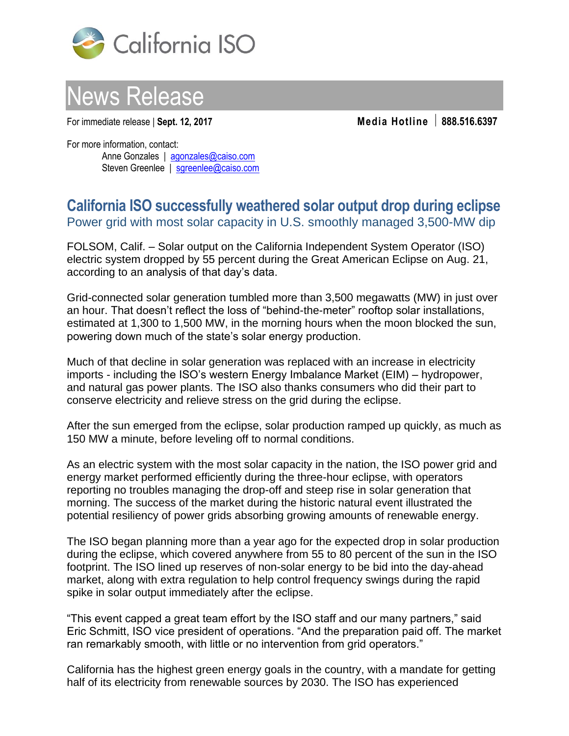



For immediate release | **Sept. 12, 2017 Media Hotline 888.516.6397**

For more information, contact: Anne Gonzales | [agonzales@caiso.com](mailto:agonzales@caiso.com) Steven Greenlee | [sgreenlee@caiso.com](mailto:sgreenlee@caiso.com)

## **California ISO successfully weathered solar output drop during eclipse**  Power grid with most solar capacity in U.S. smoothly managed 3,500-MW dip

FOLSOM, Calif. – Solar output on the California Independent System Operator (ISO) electric system dropped by 55 percent during the Great American Eclipse on Aug. 21, according to an analysis of that day's data.

Grid-connected solar generation tumbled more than 3,500 megawatts (MW) in just over an hour. That doesn't reflect the loss of "behind-the-meter" rooftop solar installations, estimated at 1,300 to 1,500 MW, in the morning hours when the moon blocked the sun, powering down much of the state's solar energy production.

Much of that decline in solar generation was replaced with an increase in electricity imports - including the ISO's western Energy Imbalance Market (EIM) – hydropower, and natural gas power plants. The ISO also thanks consumers who did their part to conserve electricity and relieve stress on the grid during the eclipse.

After the sun emerged from the eclipse, solar production ramped up quickly, as much as 150 MW a minute, before leveling off to normal conditions.

As an electric system with the most solar capacity in the nation, the ISO power grid and energy market performed efficiently during the three-hour eclipse, with operators reporting no troubles managing the drop-off and steep rise in solar generation that morning. The success of the market during the historic natural event illustrated the potential resiliency of power grids absorbing growing amounts of renewable energy.

The ISO began planning more than a year ago for the expected drop in solar production during the eclipse, which covered anywhere from 55 to 80 percent of the sun in the ISO footprint. The ISO lined up reserves of non-solar energy to be bid into the day-ahead market, along with extra regulation to help control frequency swings during the rapid spike in solar output immediately after the eclipse.

"This event capped a great team effort by the ISO staff and our many partners," said Eric Schmitt, ISO vice president of operations. "And the preparation paid off. The market ran remarkably smooth, with little or no intervention from grid operators."

California has the highest green energy goals in the country, with a mandate for getting half of its electricity from renewable sources by 2030. The ISO has experienced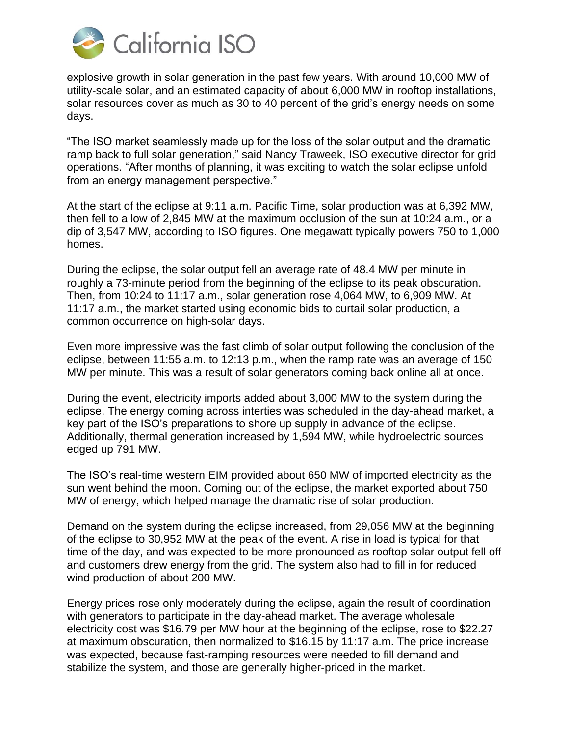

explosive growth in solar generation in the past few years. With around 10,000 MW of utility-scale solar, and an estimated capacity of about 6,000 MW in rooftop installations, solar resources cover as much as 30 to 40 percent of the grid's energy needs on some days.

"The ISO market seamlessly made up for the loss of the solar output and the dramatic ramp back to full solar generation," said Nancy Traweek, ISO executive director for grid operations. "After months of planning, it was exciting to watch the solar eclipse unfold from an energy management perspective."

At the start of the eclipse at 9:11 a.m. Pacific Time, solar production was at 6,392 MW, then fell to a low of 2,845 MW at the maximum occlusion of the sun at 10:24 a.m., or a dip of 3,547 MW, according to ISO figures. One megawatt typically powers 750 to 1,000 homes.

During the eclipse, the solar output fell an average rate of 48.4 MW per minute in roughly a 73-minute period from the beginning of the eclipse to its peak obscuration. Then, from 10:24 to 11:17 a.m., solar generation rose 4,064 MW, to 6,909 MW. At 11:17 a.m., the market started using economic bids to curtail solar production, a common occurrence on high-solar days.

Even more impressive was the fast climb of solar output following the conclusion of the eclipse, between 11:55 a.m. to 12:13 p.m., when the ramp rate was an average of 150 MW per minute. This was a result of solar generators coming back online all at once.

During the event, electricity imports added about 3,000 MW to the system during the eclipse. The energy coming across interties was scheduled in the day-ahead market, a key part of the ISO's preparations to shore up supply in advance of the eclipse. Additionally, thermal generation increased by 1,594 MW, while hydroelectric sources edged up 791 MW.

The ISO's real-time western EIM provided about 650 MW of imported electricity as the sun went behind the moon. Coming out of the eclipse, the market exported about 750 MW of energy, which helped manage the dramatic rise of solar production.

Demand on the system during the eclipse increased, from 29,056 MW at the beginning of the eclipse to 30,952 MW at the peak of the event. A rise in load is typical for that time of the day, and was expected to be more pronounced as rooftop solar output fell off and customers drew energy from the grid. The system also had to fill in for reduced wind production of about 200 MW.

Energy prices rose only moderately during the eclipse, again the result of coordination with generators to participate in the day-ahead market. The average wholesale electricity cost was \$16.79 per MW hour at the beginning of the eclipse, rose to \$22.27 at maximum obscuration, then normalized to \$16.15 by 11:17 a.m. The price increase was expected, because fast-ramping resources were needed to fill demand and stabilize the system, and those are generally higher-priced in the market.